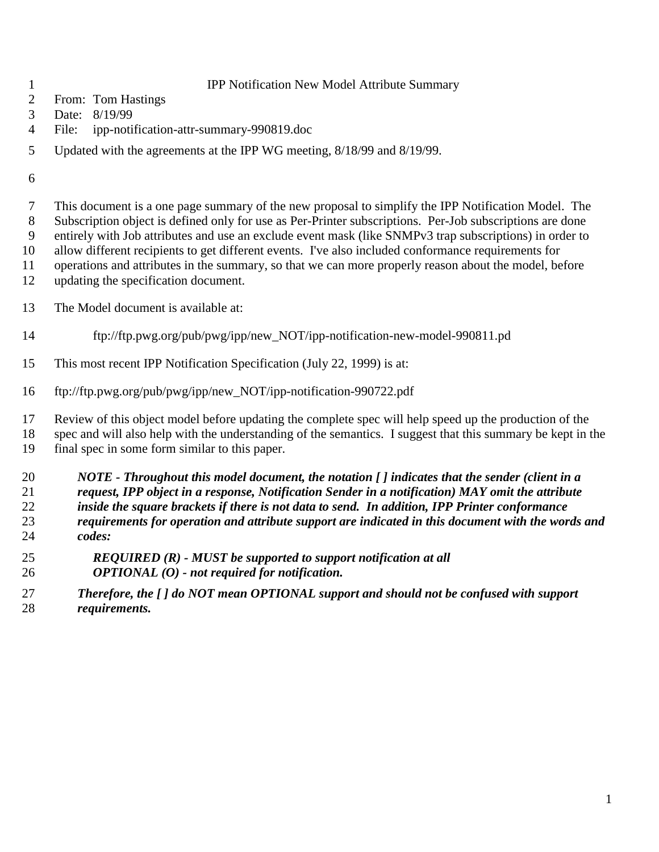#### IPP Notification New Model Attribute Summary

- From: Tom Hastings
- Date: 8/19/99
- File: ipp-notification-attr-summary-990819.doc
- Updated with the agreements at the IPP WG meeting, 8/18/99 and 8/19/99.
- 

 This document is a one page summary of the new proposal to simplify the IPP Notification Model. The Subscription object is defined only for use as Per-Printer subscriptions. Per-Job subscriptions are done entirely with Job attributes and use an exclude event mask (like SNMPv3 trap subscriptions) in order to allow different recipients to get different events. I've also included conformance requirements for operations and attributes in the summary, so that we can more properly reason about the model, before updating the specification document.

- The Model document is available at:
- ftp://ftp.pwg.org/pub/pwg/ipp/new\_NOT/ipp-notification-new-model-990811.pd
- This most recent IPP Notification Specification (July 22, 1999) is at:
- ftp://ftp.pwg.org/pub/pwg/ipp/new\_NOT/ipp-notification-990722.pdf

 Review of this object model before updating the complete spec will help speed up the production of the spec and will also help with the understanding of the semantics. I suggest that this summary be kept in the final spec in some form similar to this paper.

 *NOTE - Throughout this model document, the notation [ ] indicates that the sender (client in a request, IPP object in a response, Notification Sender in a notification) MAY omit the attribute inside the square brackets if there is not data to send. In addition, IPP Printer conformance requirements for operation and attribute support are indicated in this document with the words and codes:*

- *REQUIRED (R) MUST be supported to support notification at all OPTIONAL (O) - not required for notification.*
- *Therefore, the [ ] do NOT mean OPTIONAL support and should not be confused with support requirements.*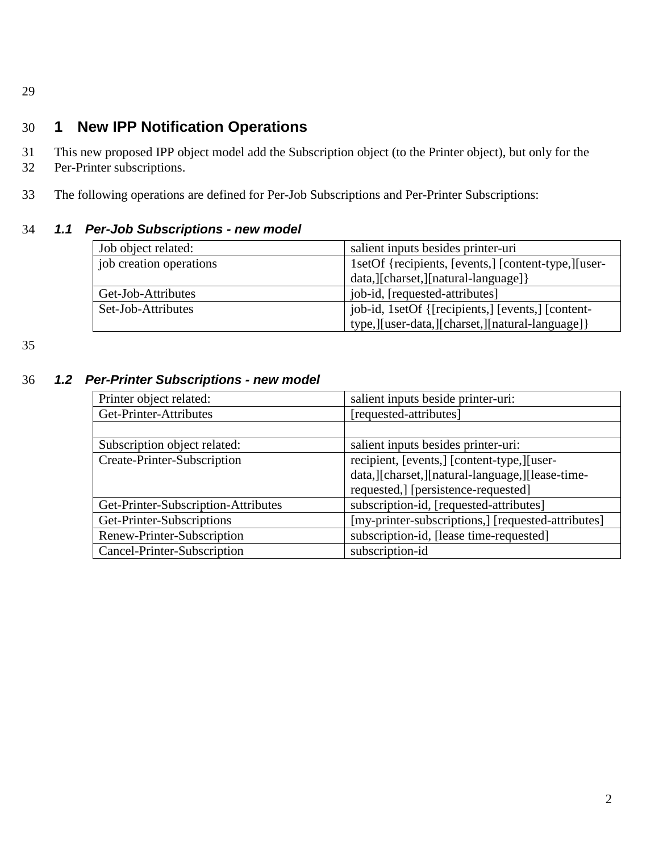29

# 30 **1 New IPP Notification Operations**

- 31 This new proposed IPP object model add the Subscription object (to the Printer object), but only for the
- 32 Per-Printer subscriptions.
- 33 The following operations are defined for Per-Job Subscriptions and Per-Printer Subscriptions:

### 34 *1.1 Per-Job Subscriptions - new model*

| Job object related:     | salient inputs besides printer-uri                   |
|-------------------------|------------------------------------------------------|
| job creation operations | 1setOf {recipients, [events,] [content-type,][user-  |
|                         | data, [charset, ] [natural-language] }               |
| Get-Job-Attributes      | job-id, [requested-attributes]                       |
| Set-Job-Attributes      | job-id, 1setOf {[recipients,] [events,] [content-    |
|                         | type, [[user-data, [[charset, ] [natural-language] } |

35

#### 36 *1.2 Per-Printer Subscriptions - new model*

| Printer object related:             | salient inputs beside printer-uri:                 |
|-------------------------------------|----------------------------------------------------|
| Get-Printer-Attributes              | [requested-attributes]                             |
|                                     |                                                    |
| Subscription object related:        | salient inputs besides printer-uri:                |
| Create-Printer-Subscription         | recipient, [events,] [content-type,][user-         |
|                                     | data, [[charset, ][natural-language, ][lease-time- |
|                                     | requested,] [persistence-requested]                |
| Get-Printer-Subscription-Attributes | subscription-id, [requested-attributes]            |
| Get-Printer-Subscriptions           | [my-printer-subscriptions,] [requested-attributes] |
| Renew-Printer-Subscription          | subscription-id, [lease time-requested]            |
| Cancel-Printer-Subscription         | subscription-id                                    |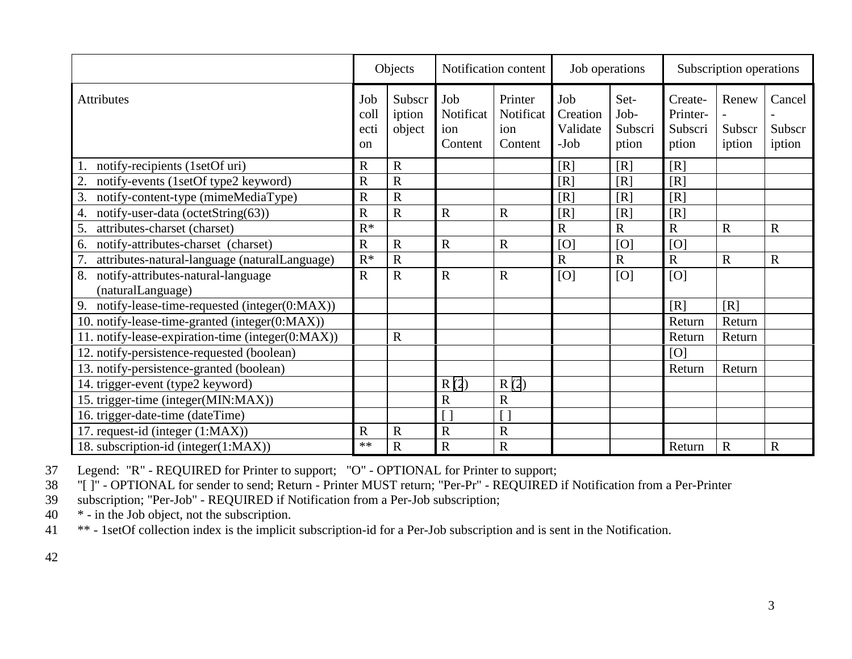|                                                               | Objects                              |                            |                                    | Notification content                   | Job operations                      |                                  | Subscription operations                 |                           |                            |
|---------------------------------------------------------------|--------------------------------------|----------------------------|------------------------------------|----------------------------------------|-------------------------------------|----------------------------------|-----------------------------------------|---------------------------|----------------------------|
| Attributes                                                    | Job<br>coll<br>ecti<br><sub>on</sub> | Subscr<br>iption<br>object | Job<br>Notificat<br>ion<br>Content | Printer<br>Notificat<br>ion<br>Content | Job<br>Creation<br>Validate<br>-Job | Set-<br>Job-<br>Subscri<br>ption | Create-<br>Printer-<br>Subscri<br>ption | Renew<br>Subscr<br>iption | Cancel<br>Subscr<br>iption |
| notify-recipients (1setOf uri)                                | R                                    | $\mathbf R$                |                                    |                                        | [R]                                 | [R]                              | [R]                                     |                           |                            |
| 2.<br>notify-events (1setOf type2 keyword)                    | $\overline{\text{R}}$                | $\mathbf R$                |                                    |                                        | [R]                                 | [R]                              | [R]                                     |                           |                            |
| 3.<br>notify-content-type (mimeMediaType)                     | R                                    | $\overline{R}$             |                                    |                                        | [R]                                 | [R]                              | [R]                                     |                           |                            |
| notify-user-data (octetString(63))<br>4.                      | $\overline{\text{R}}$                | $\mathbf R$                | $\mathbf R$                        | $\mathbf R$                            | [R]                                 | [R]                              | [R]                                     |                           |                            |
| attributes-charset (charset)<br>5.                            | $R^*$                                |                            |                                    |                                        | $\overline{R}$                      | $\overline{R}$                   | $\overline{R}$                          | $\overline{R}$            | $\mathbf R$                |
| notify-attributes-charset (charset)<br>6.                     | $\mathbf R$                          | $\mathbf R$                | $\mathbf R$                        | $\mathbf R$                            | [O]                                 | [O]                              | [O]                                     |                           |                            |
| 7.<br>attributes-natural-language (naturalLanguage)           | $R^*$                                | $\mathbf R$                |                                    |                                        | $\overline{\text{R}}$               | $\mathbf R$                      | $\mathbf R$                             | $\mathbf R$               | $\mathbf R$                |
| 8.<br>notify-attributes-natural-language<br>(naturalLanguage) | $\mathbf R$                          | $\mathbf R$                | $\mathbf R$                        | $\mathbf R$                            | [O]                                 | [O]                              | [O]                                     |                           |                            |
| 9.<br>notify-lease-time-requested (integer(0:MAX))            |                                      |                            |                                    |                                        |                                     |                                  | [R]                                     | [R]                       |                            |
| 10. notify-lease-time-granted (integer(0:MAX))                |                                      |                            |                                    |                                        |                                     |                                  | Return                                  | Return                    |                            |
| 11. notify-lease-expiration-time (integer(0:MAX))             |                                      | $\mathbf R$                |                                    |                                        |                                     |                                  | Return                                  | Return                    |                            |
| 12. notify-persistence-requested (boolean)                    |                                      |                            |                                    |                                        |                                     |                                  | [O]                                     |                           |                            |
| 13. notify-persistence-granted (boolean)                      |                                      |                            |                                    |                                        |                                     |                                  | Return                                  | Return                    |                            |
| 14. trigger-event (type2 keyword)                             |                                      |                            | R(2)                               | R(2)                                   |                                     |                                  |                                         |                           |                            |
| 15. trigger-time (integer(MIN:MAX))                           |                                      |                            | $\mathbf R$                        | $\mathbf R$                            |                                     |                                  |                                         |                           |                            |
| 16. trigger-date-time (dateTime)                              |                                      |                            |                                    |                                        |                                     |                                  |                                         |                           |                            |
| 17. request-id (integer (1:MAX))                              | $\mathbb{R}$                         | $\mathbf R$                | $\mathbf R$                        | $\mathbf R$                            |                                     |                                  |                                         |                           |                            |
| 18. subscription-id (integer(1:MAX))                          | $**$                                 | $\mathbf R$                | $\mathbf R$                        | ${\bf R}$                              |                                     |                                  | Return                                  | $\mathbf R$               | $\mathbf R$                |

37 Legend: "R" - REQUIRED for Printer to support; "O" - OPTIONAL for Printer to support;

38 "[ ]" - OPTIONAL for sender to send; Return - Printer MUST return; "Per-Pr" - REQUIRED if Notification from a Per-Printer

39 subscription; "Per-Job" - REQUIRED if Notification from a Per-Job subscription;<br>40  $*$  - in the Job object, not the subscription.

\* - in the Job object, not the subscription.

41 \*\* - 1setOf collection index is the implicit subscription-id for a Per-Job subscription and is sent in the Notification.

42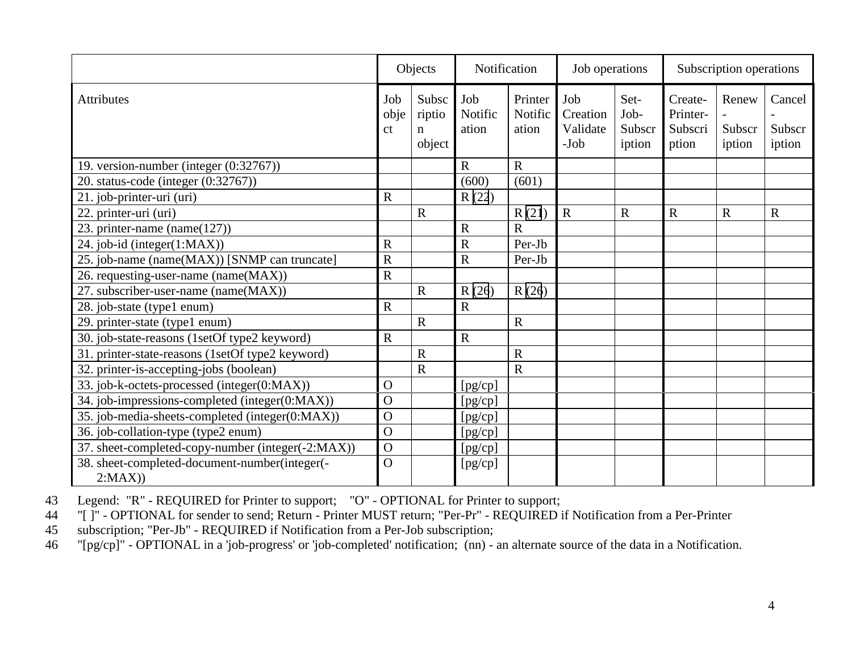|                                                   | Objects                       |                                | Notification            |                             | Job operations                        |                                  | Subscription operations                 |                           |                            |
|---------------------------------------------------|-------------------------------|--------------------------------|-------------------------|-----------------------------|---------------------------------------|----------------------------------|-----------------------------------------|---------------------------|----------------------------|
| <b>Attributes</b>                                 | Job<br>obje<br><sub>c</sub> t | Subsc<br>riptio<br>n<br>object | Job<br>Notific<br>ation | Printer<br>Notific<br>ation | Job<br>Creation<br>Validate<br>$-Job$ | Set-<br>Job-<br>Subscr<br>iption | Create-<br>Printer-<br>Subscri<br>ption | Renew<br>Subscr<br>iption | Cancel<br>Subscr<br>iption |
| 19. version-number (integer (0:32767))            |                               |                                | $\mathbf R$             | R                           |                                       |                                  |                                         |                           |                            |
| 20. status-code (integer $(0.32767)$ )            |                               |                                | (600)                   | (601)                       |                                       |                                  |                                         |                           |                            |
| $\overline{21}$ . job-printer-uri (uri)           | $\mathbf R$                   |                                | R(22)                   |                             |                                       |                                  |                                         |                           |                            |
| 22. printer-uri (uri)                             |                               | $\mathbf R$                    |                         | R(21)                       | $\mathbf R$                           | $\mathbf R$                      | $\mathbf R$                             | $\mathbf R$               | $\mathbf R$                |
| 23. printer-name (name( $127$ ))                  |                               |                                | $\mathbf R$             | $\mathbf R$                 |                                       |                                  |                                         |                           |                            |
| 24. job-id (integer(1:MAX))                       | $\mathbf R$                   |                                | $\mathbf R$             | Per-Jb                      |                                       |                                  |                                         |                           |                            |
| 25. job-name (name(MAX)) [SNMP can truncate]      | $\mathbf R$                   |                                | $\mathbf R$             | Per-Jb                      |                                       |                                  |                                         |                           |                            |
| 26. requesting-user-name (name(MAX))              | $\overline{R}$                |                                |                         |                             |                                       |                                  |                                         |                           |                            |
| 27. subscriber-user-name (name(MAX))              |                               | $\mathbf R$                    | R(26)                   | R(26)                       |                                       |                                  |                                         |                           |                            |
| 28. job-state (type1 enum)                        | $\mathbf R$                   |                                | $\overline{R}$          |                             |                                       |                                  |                                         |                           |                            |
| 29. printer-state (type1 enum)                    |                               | $\mathbf R$                    |                         | $\mathbf R$                 |                                       |                                  |                                         |                           |                            |
| 30. job-state-reasons (1setOf type2 keyword)      | $\mathbf R$                   |                                | $\mathbf R$             |                             |                                       |                                  |                                         |                           |                            |
| 31. printer-state-reasons (1setOf type2 keyword)  |                               | $\overline{R}$                 |                         | $\mathbf R$                 |                                       |                                  |                                         |                           |                            |
| 32. printer-is-accepting-jobs (boolean)           |                               | $\mathbf R$                    |                         | $\mathbf R$                 |                                       |                                  |                                         |                           |                            |
| 33. job-k-octets-processed (integer(0:MAX))       | $\Omega$                      |                                | [pg/cp]                 |                             |                                       |                                  |                                         |                           |                            |
| 34. job-impressions-completed (integer(0:MAX))    | $\overline{O}$                |                                | [pg/cp]                 |                             |                                       |                                  |                                         |                           |                            |
| 35. job-media-sheets-completed (integer(0:MAX))   | $\overline{O}$                |                                | [pg/cp]                 |                             |                                       |                                  |                                         |                           |                            |
| 36. job-collation-type (type2 enum)               | $\overline{O}$                |                                | [pg/cp]                 |                             |                                       |                                  |                                         |                           |                            |
| 37. sheet-completed-copy-number (integer(-2:MAX)) | $\overline{O}$                |                                | [pg/cp]                 |                             |                                       |                                  |                                         |                           |                            |
| 38. sheet-completed-document-number(integer(-     | $\Omega$                      |                                | [pg/cp]                 |                             |                                       |                                  |                                         |                           |                            |
| 2:MAX)                                            |                               |                                |                         |                             |                                       |                                  |                                         |                           |                            |

43 Legend: "R" - REQUIRED for Printer to support; "O" - OPTIONAL for Printer to support;

44 "[ ]" - OPTIONAL for sender to send; Return - Printer MUST return; "Per-Pr" - REQUIRED if Notification from a Per-Printer

45 subscription; "Per-Jb" - REQUIRED if Notification from a Per-Job subscription;

46 "[pg/cp]" - OPTIONAL in a 'job-progress' or 'job-completed' notification; (nn) - an alternate source of the data in a Notification.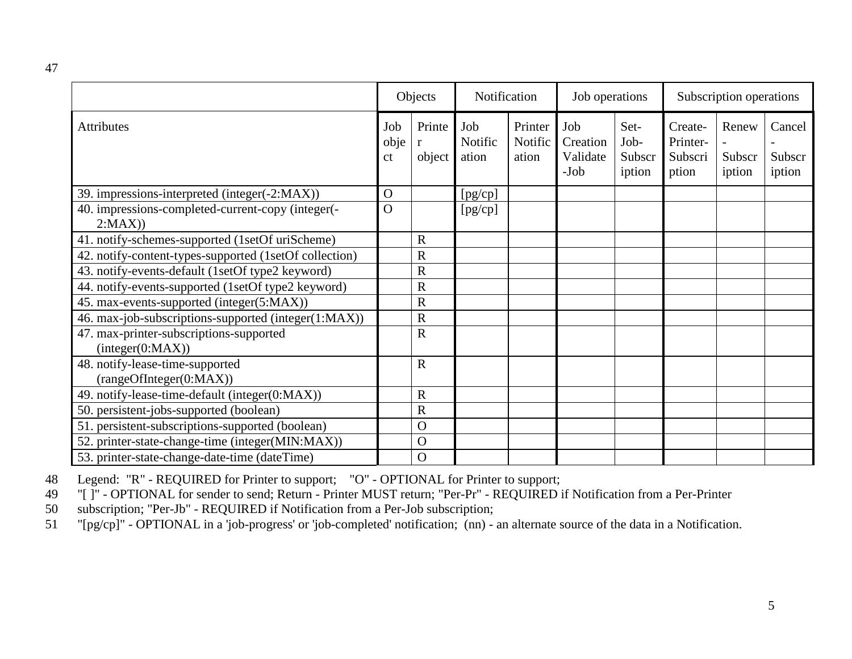|                                                             | Objects           |                         | Notification            |                             | Job operations                      |                                  | Subscription operations                 |                           |                            |
|-------------------------------------------------------------|-------------------|-------------------------|-------------------------|-----------------------------|-------------------------------------|----------------------------------|-----------------------------------------|---------------------------|----------------------------|
| <b>Attributes</b>                                           | Job<br>obje<br>ct | Printe<br>object        | Job<br>Notific<br>ation | Printer<br>Notific<br>ation | Job<br>Creation<br>Validate<br>-Job | Set-<br>Job-<br>Subscr<br>iption | Create-<br>Printer-<br>Subscri<br>ption | Renew<br>Subscr<br>iption | Cancel<br>Subscr<br>iption |
| 39. impressions-interpreted (integer(-2:MAX))               | $\Omega$          |                         | [pg/cp]                 |                             |                                     |                                  |                                         |                           |                            |
| 40. impressions-completed-current-copy (integer(-<br>2:MAX) | $\Omega$          |                         | [pg/cp]                 |                             |                                     |                                  |                                         |                           |                            |
| 41. notify-schemes-supported (1setOf uriScheme)             |                   | $\overline{\mathrm{R}}$ |                         |                             |                                     |                                  |                                         |                           |                            |
| 42. notify-content-types-supported (1setOf collection)      |                   | $\mathsf{R}$            |                         |                             |                                     |                                  |                                         |                           |                            |
| 43. notify-events-default (1setOf type2 keyword)            |                   | R                       |                         |                             |                                     |                                  |                                         |                           |                            |
| 44. notify-events-supported (1setOf type2 keyword)          |                   | R                       |                         |                             |                                     |                                  |                                         |                           |                            |
| 45. max-events-supported (integer(5:MAX))                   |                   | R                       |                         |                             |                                     |                                  |                                         |                           |                            |
| 46. max-job-subscriptions-supported (integer(1:MAX))        |                   | $\mathbf R$             |                         |                             |                                     |                                  |                                         |                           |                            |
| 47. max-printer-subscriptions-supported<br>interger(0:MAX)) |                   | ${\bf R}$               |                         |                             |                                     |                                  |                                         |                           |                            |
| 48. notify-lease-time-supported<br>(rangeOfInteger(0:MAX))  |                   | $\mathbf R$             |                         |                             |                                     |                                  |                                         |                           |                            |
| 49. notify-lease-time-default (integer(0:MAX))              |                   | $\mathbf R$             |                         |                             |                                     |                                  |                                         |                           |                            |
| 50. persistent-jobs-supported (boolean)                     |                   | R                       |                         |                             |                                     |                                  |                                         |                           |                            |
| 51. persistent-subscriptions-supported (boolean)            |                   | $\mathbf O$             |                         |                             |                                     |                                  |                                         |                           |                            |
| 52. printer-state-change-time (integer(MIN:MAX))            |                   | $\mathbf O$             |                         |                             |                                     |                                  |                                         |                           |                            |
| 53. printer-state-change-date-time (dateTime)               |                   | $\mathbf O$             |                         |                             |                                     |                                  |                                         |                           |                            |

48 Legend: "R" - REQUIRED for Printer to support; "O" - OPTIONAL for Printer to support;

49 "[ ]" - OPTIONAL for sender to send; Return - Printer MUST return; "Per-Pr" - REQUIRED if Notification from a Per-Printer

50 subscription; "Per-Jb" - REQUIRED if Notification from a Per-Job subscription;

51 "[pg/cp]" - OPTIONAL in a 'job-progress' or 'job-completed' notification; (nn) - an alternate source of the data in a Notification.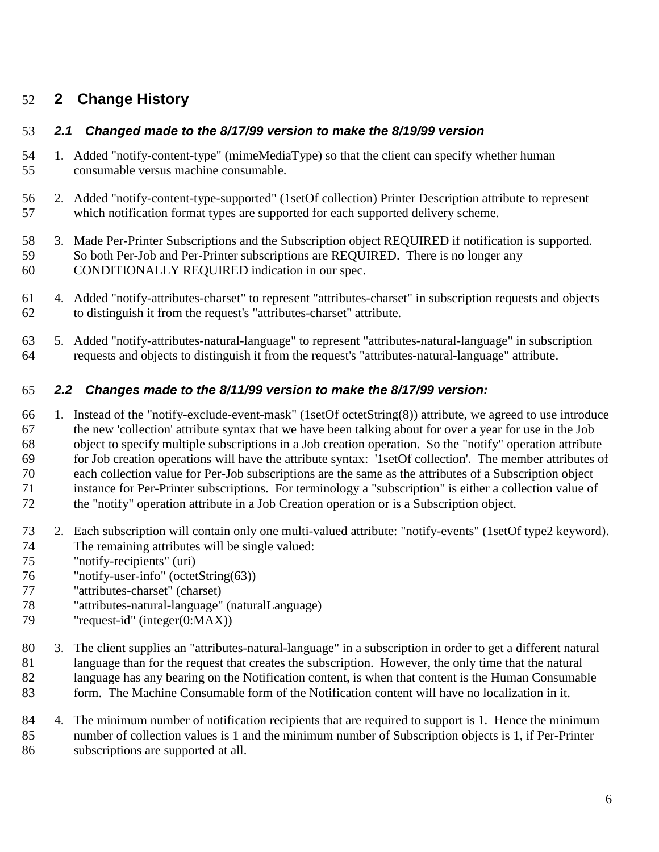## **2 Change History**

## *2.1 Changed made to the 8/17/99 version to make the 8/19/99 version*

- 1. Added "notify-content-type" (mimeMediaType) so that the client can specify whether human consumable versus machine consumable.
- 2. Added "notify-content-type-supported" (1setOf collection) Printer Description attribute to represent which notification format types are supported for each supported delivery scheme.
- 3. Made Per-Printer Subscriptions and the Subscription object REQUIRED if notification is supported. So both Per-Job and Per-Printer subscriptions are REQUIRED. There is no longer any CONDITIONALLY REQUIRED indication in our spec.
- 4. Added "notify-attributes-charset" to represent "attributes-charset" in subscription requests and objects to distinguish it from the request's "attributes-charset" attribute.
- 5. Added "notify-attributes-natural-language" to represent "attributes-natural-language" in subscription requests and objects to distinguish it from the request's "attributes-natural-language" attribute.

## *2.2 Changes made to the 8/11/99 version to make the 8/17/99 version:*

- 1. Instead of the "notify-exclude-event-mask" (1setOf octetString(8)) attribute, we agreed to use introduce the new 'collection' attribute syntax that we have been talking about for over a year for use in the Job object to specify multiple subscriptions in a Job creation operation. So the "notify" operation attribute for Job creation operations will have the attribute syntax: '1setOf collection'. The member attributes of each collection value for Per-Job subscriptions are the same as the attributes of a Subscription object instance for Per-Printer subscriptions. For terminology a "subscription" is either a collection value of the "notify" operation attribute in a Job Creation operation or is a Subscription object.
- 2. Each subscription will contain only one multi-valued attribute: "notify-events" (1setOf type2 keyword). The remaining attributes will be single valued:
- "notify-recipients" (uri)
- "notify-user-info" (octetString(63))
- "attributes-charset" (charset)
- "attributes-natural-language" (naturalLanguage)
- "request-id" (integer(0:MAX))
- 3. The client supplies an "attributes-natural-language" in a subscription in order to get a different natural language than for the request that creates the subscription. However, the only time that the natural language has any bearing on the Notification content, is when that content is the Human Consumable
- form. The Machine Consumable form of the Notification content will have no localization in it.
- 84 4. The minimum number of notification recipients that are required to support is 1. Hence the minimum number of collection values is 1 and the minimum number of Subscription objects is 1, if Per-Printer subscriptions are supported at all.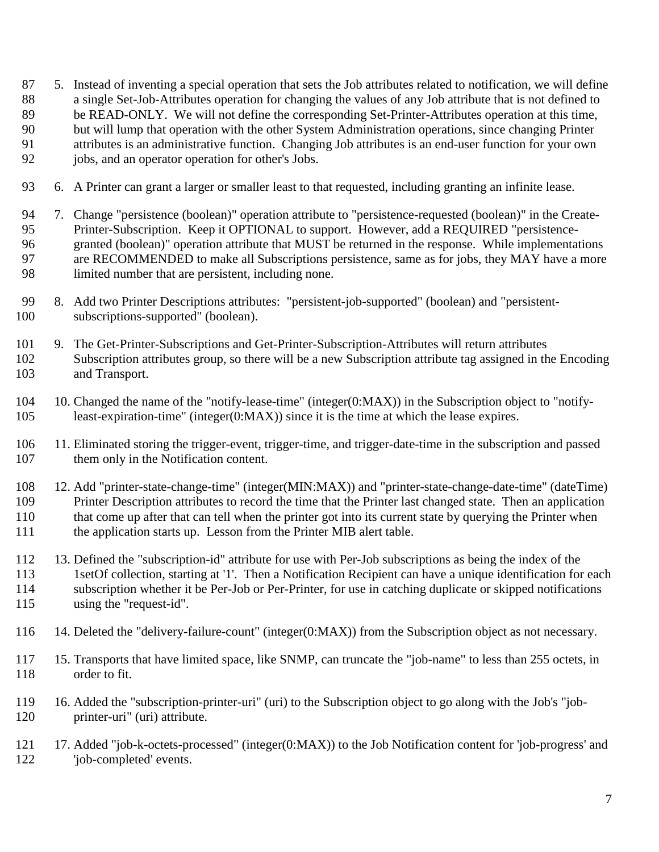- 5. Instead of inventing a special operation that sets the Job attributes related to notification, we will define a single Set-Job-Attributes operation for changing the values of any Job attribute that is not defined to be READ-ONLY. We will not define the corresponding Set-Printer-Attributes operation at this time, but will lump that operation with the other System Administration operations, since changing Printer attributes is an administrative function. Changing Job attributes is an end-user function for your own
- jobs, and an operator operation for other's Jobs.
- 6. A Printer can grant a larger or smaller least to that requested, including granting an infinite lease.
- 7. Change "persistence (boolean)" operation attribute to "persistence-requested (boolean)" in the Create- Printer-Subscription. Keep it OPTIONAL to support. However, add a REQUIRED "persistence- granted (boolean)" operation attribute that MUST be returned in the response. While implementations are RECOMMENDED to make all Subscriptions persistence, same as for jobs, they MAY have a more limited number that are persistent, including none.
- 8. Add two Printer Descriptions attributes: "persistent-job-supported" (boolean) and "persistent-subscriptions-supported" (boolean).
- 9. The Get-Printer-Subscriptions and Get-Printer-Subscription-Attributes will return attributes Subscription attributes group, so there will be a new Subscription attribute tag assigned in the Encoding and Transport.
- 10. Changed the name of the "notify-lease-time" (integer(0:MAX)) in the Subscription object to "notify-least-expiration-time" (integer(0:MAX)) since it is the time at which the lease expires.
- 11. Eliminated storing the trigger-event, trigger-time, and trigger-date-time in the subscription and passed them only in the Notification content.
- 12. Add "printer-state-change-time" (integer(MIN:MAX)) and "printer-state-change-date-time" (dateTime) Printer Description attributes to record the time that the Printer last changed state. Then an application that come up after that can tell when the printer got into its current state by querying the Printer when the application starts up. Lesson from the Printer MIB alert table.
- 13. Defined the "subscription-id" attribute for use with Per-Job subscriptions as being the index of the 113 1setOf collection, starting at '1'. Then a Notification Recipient can have a unique identification for each subscription whether it be Per-Job or Per-Printer, for use in catching duplicate or skipped notifications using the "request-id".
- 14. Deleted the "delivery-failure-count" (integer(0:MAX)) from the Subscription object as not necessary.
- 15. Transports that have limited space, like SNMP, can truncate the "job-name" to less than 255 octets, in order to fit.
- 16. Added the "subscription-printer-uri" (uri) to the Subscription object to go along with the Job's "job-printer-uri" (uri) attribute.
- 17. Added "job-k-octets-processed" (integer(0:MAX)) to the Job Notification content for 'job-progress' and 'job-completed' events.